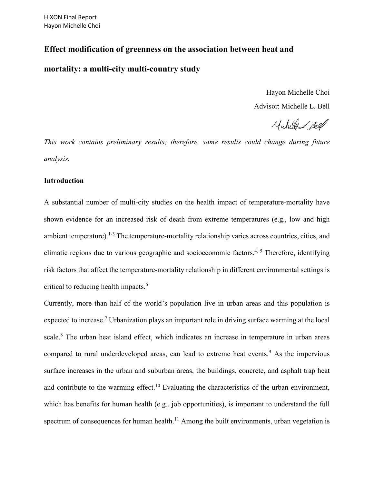# **Effect modification of greenness on the association between heat and**

# **mortality: a multi-city multi-country study**

Hayon Michelle Choi Advisor: Michelle L. Bell

Muhelle & feel

*This work contains preliminary results; therefore, some results could change during future analysis.* 

## **Introduction**

A substantial number of multi-city studies on the health impact of temperature-mortality have shown evidence for an increased risk of death from extreme temperatures (e.g., low and high ambient temperature). <sup>1-3</sup> The temperature-mortality relationship varies across countries, cities, and climatic regions due to various geographic and socioeconomic factors.<sup>4, 5</sup> Therefore, identifying risk factors that affect the temperature-mortality relationship in different environmental settings is critical to reducing health impacts. 6

Currently, more than half of the world's population live in urban areas and this population is expected to increase.<sup>7</sup> Urbanization plays an important role in driving surface warming at the local scale. <sup>8</sup> The urban heat island effect, which indicates an increase in temperature in urban areas compared to rural underdeveloped areas, can lead to extreme heat events.<sup>9</sup> As the impervious surface increases in the urban and suburban areas, the buildings, concrete, and asphalt trap heat and contribute to the warming effect.<sup>10</sup> Evaluating the characteristics of the urban environment, which has benefits for human health (e.g., job opportunities), is important to understand the full spectrum of consequences for human health.<sup>11</sup> Among the built environments, urban vegetation is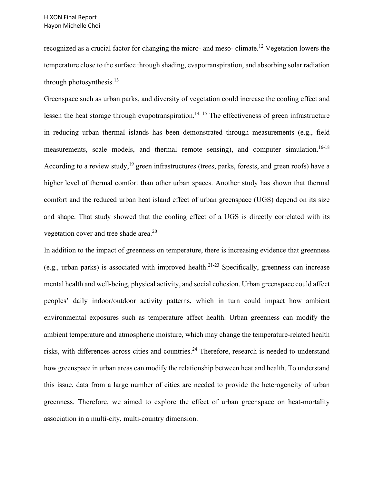recognized as a crucial factor for changing the micro- and meso- climate.<sup>12</sup> Vegetation lowers the temperature close to the surface through shading, evapotranspiration, and absorbing solar radiation through photosynthesis.<sup>13</sup>

Greenspace such as urban parks, and diversity of vegetation could increase the cooling effect and lessen the heat storage through evapotranspiration.<sup>14, 15</sup> The effectiveness of green infrastructure in reducing urban thermal islands has been demonstrated through measurements (e.g., field measurements, scale models, and thermal remote sensing), and computer simulation.<sup>16-18</sup> According to a review study,<sup>19</sup> green infrastructures (trees, parks, forests, and green roofs) have a higher level of thermal comfort than other urban spaces. Another study has shown that thermal comfort and the reduced urban heat island effect of urban greenspace (UGS) depend on its size and shape. That study showed that the cooling effect of a UGS is directly correlated with its vegetation cover and tree shade area.<sup>20</sup>

In addition to the impact of greenness on temperature, there is increasing evidence that greenness (e.g., urban parks) is associated with improved health.<sup>21-23</sup> Specifically, greenness can increase mental health and well-being, physical activity, and social cohesion. Urban greenspace could affect peoples' daily indoor/outdoor activity patterns, which in turn could impact how ambient environmental exposures such as temperature affect health. Urban greenness can modify the ambient temperature and atmospheric moisture, which may change the temperature-related health risks, with differences across cities and countries.<sup>24</sup> Therefore, research is needed to understand how greenspace in urban areas can modify the relationship between heat and health. To understand this issue, data from a large number of cities are needed to provide the heterogeneity of urban greenness. Therefore, we aimed to explore the effect of urban greenspace on heat-mortality association in a multi-city, multi-country dimension.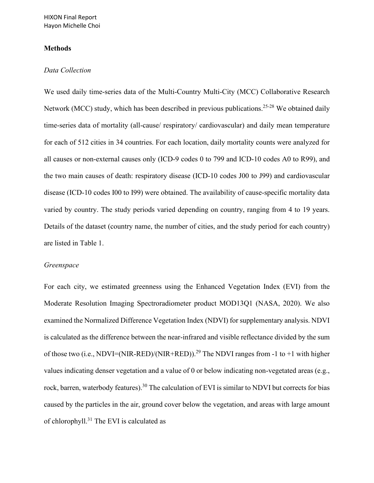## **Methods**

#### *Data Collection*

We used daily time-series data of the Multi-Country Multi-City (MCC) Collaborative Research Network (MCC) study, which has been described in previous publications.<sup>25-28</sup> We obtained daily time-series data of mortality (all-cause/ respiratory/ cardiovascular) and daily mean temperature for each of 512 cities in 34 countries. For each location, daily mortality counts were analyzed for all causes or non-external causes only (ICD-9 codes 0 to 799 and ICD-10 codes A0 to R99), and the two main causes of death: respiratory disease (ICD-10 codes J00 to J99) and cardiovascular disease (ICD-10 codes I00 to I99) were obtained. The availability of cause-specific mortality data varied by country. The study periods varied depending on country, ranging from 4 to 19 years. Details of the dataset (country name, the number of cities, and the study period for each country) are listed in Table 1.

#### *Greenspace*

For each city, we estimated greenness using the Enhanced Vegetation Index (EVI) from the Moderate Resolution Imaging Spectroradiometer product MOD13Q1 (NASA, 2020). We also examined the Normalized Difference Vegetation Index (NDVI) for supplementary analysis. NDVI is calculated as the difference between the near-infrared and visible reflectance divided by the sum of those two (i.e., NDVI=(NIR-RED)/(NIR+RED)).<sup>29</sup> The NDVI ranges from -1 to +1 with higher values indicating denser vegetation and a value of 0 or below indicating non-vegetated areas (e.g., rock, barren, waterbody features).<sup>30</sup> The calculation of EVI is similar to NDVI but corrects for bias caused by the particles in the air, ground cover below the vegetation, and areas with large amount of chlorophyll.<sup>31</sup> The EVI is calculated as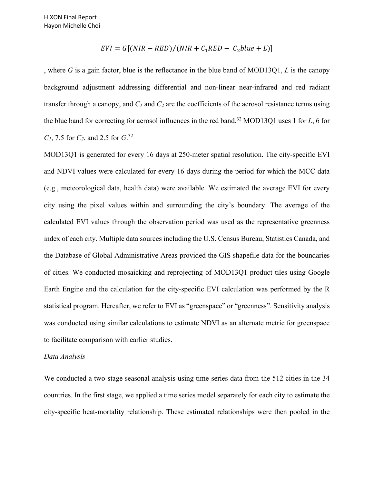$$
EVI = G[(NIR - RED)/(NIR + C_1RED - C_2blue + L)]
$$

, where *G* is a gain factor, blue is the reflectance in the blue band of MOD13Q1, *L* is the canopy background adjustment addressing differential and non-linear near-infrared and red radiant transfer through a canopy, and  $C_1$  and  $C_2$  are the coefficients of the aerosol resistance terms using the blue band for correcting for aerosol influences in the red band.32 MOD13Q1 uses 1 for *L*, 6 for *C1*, 7.5 for *C2*, and 2.5 for *G*. 32

MOD13Q1 is generated for every 16 days at 250-meter spatial resolution. The city-specific EVI and NDVI values were calculated for every 16 days during the period for which the MCC data (e.g., meteorological data, health data) were available. We estimated the average EVI for every city using the pixel values within and surrounding the city's boundary. The average of the calculated EVI values through the observation period was used as the representative greenness index of each city. Multiple data sources including the U.S. Census Bureau, Statistics Canada, and the Database of Global Administrative Areas provided the GIS shapefile data for the boundaries of cities. We conducted mosaicking and reprojecting of MOD13Q1 product tiles using Google Earth Engine and the calculation for the city-specific EVI calculation was performed by the R statistical program. Hereafter, we refer to EVI as "greenspace" or "greenness". Sensitivity analysis was conducted using similar calculations to estimate NDVI as an alternate metric for greenspace to facilitate comparison with earlier studies.

#### *Data Analysis*

We conducted a two-stage seasonal analysis using time-series data from the 512 cities in the 34 countries. In the first stage, we applied a time series model separately for each city to estimate the city-specific heat-mortality relationship. These estimated relationships were then pooled in the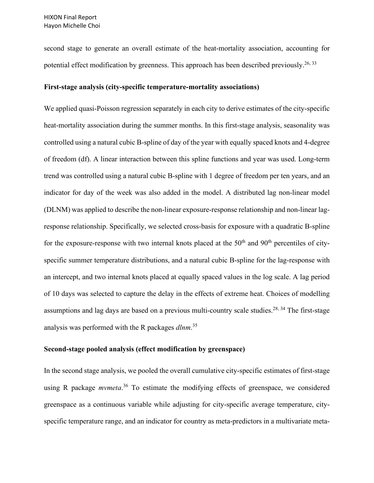second stage to generate an overall estimate of the heat-mortality association, accounting for potential effect modification by greenness. This approach has been described previously.<sup>26, 33</sup>

#### **First-stage analysis (city-specific temperature-mortality associations)**

We applied quasi-Poisson regression separately in each city to derive estimates of the city-specific heat-mortality association during the summer months. In this first-stage analysis, seasonality was controlled using a natural cubic B-spline of day of the year with equally spaced knots and 4-degree of freedom (df). A linear interaction between this spline functions and year was used. Long-term trend was controlled using a natural cubic B-spline with 1 degree of freedom per ten years, and an indicator for day of the week was also added in the model. A distributed lag non-linear model (DLNM) was applied to describe the non-linear exposure-response relationship and non-linear lagresponse relationship. Specifically, we selected cross-basis for exposure with a quadratic B-spline for the exposure-response with two internal knots placed at the  $50<sup>th</sup>$  and  $90<sup>th</sup>$  percentiles of cityspecific summer temperature distributions, and a natural cubic B-spline for the lag-response with an intercept, and two internal knots placed at equally spaced values in the log scale. A lag period of 10 days was selected to capture the delay in the effects of extreme heat. Choices of modelling assumptions and lag days are based on a previous multi-country scale studies.<sup>28, 34</sup> The first-stage analysis was performed with the R packages *dlnm*. 35

## **Second-stage pooled analysis (effect modification by greenspace)**

In the second stage analysis, we pooled the overall cumulative city-specific estimates of first-stage using R package *mvmeta*. <sup>36</sup> To estimate the modifying effects of greenspace, we considered greenspace as a continuous variable while adjusting for city-specific average temperature, cityspecific temperature range, and an indicator for country as meta-predictors in a multivariate meta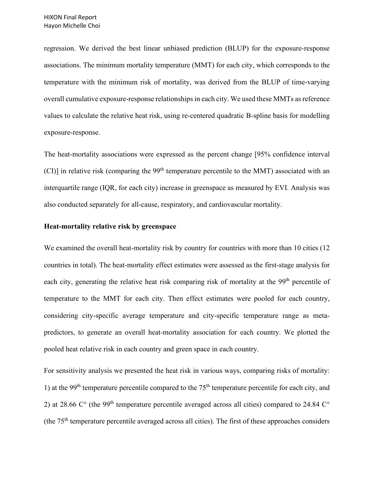regression. We derived the best linear unbiased prediction (BLUP) for the exposure-response associations. The minimum mortality temperature (MMT) for each city, which corresponds to the temperature with the minimum risk of mortality, was derived from the BLUP of time-varying overall cumulative exposure-response relationships in each city. We used these MMTs as reference values to calculate the relative heat risk, using re-centered quadratic B-spline basis for modelling exposure-response.

The heat-mortality associations were expressed as the percent change [95% confidence interval (CI)] in relative risk (comparing the  $99<sup>th</sup>$  temperature percentile to the MMT) associated with an interquartile range (IQR, for each city) increase in greenspace as measured by EVI. Analysis was also conducted separately for all-cause, respiratory, and cardiovascular mortality.

#### **Heat-mortality relative risk by greenspace**

We examined the overall heat-mortality risk by country for countries with more than 10 cities (12 countries in total). The heat-mortality effect estimates were assessed as the first-stage analysis for each city, generating the relative heat risk comparing risk of mortality at the 99<sup>th</sup> percentile of temperature to the MMT for each city. Then effect estimates were pooled for each country, considering city-specific average temperature and city-specific temperature range as metapredictors, to generate an overall heat-mortality association for each country. We plotted the pooled heat relative risk in each country and green space in each country.

For sensitivity analysis we presented the heat risk in various ways, comparing risks of mortality: 1) at the 99<sup>th</sup> temperature percentile compared to the  $75<sup>th</sup>$  temperature percentile for each city, and 2) at 28.66  $\mathbb{C}^{\circ}$  (the 99<sup>th</sup> temperature percentile averaged across all cities) compared to 24.84  $\mathbb{C}^{\circ}$ (the  $75<sup>th</sup>$  temperature percentile averaged across all cities). The first of these approaches considers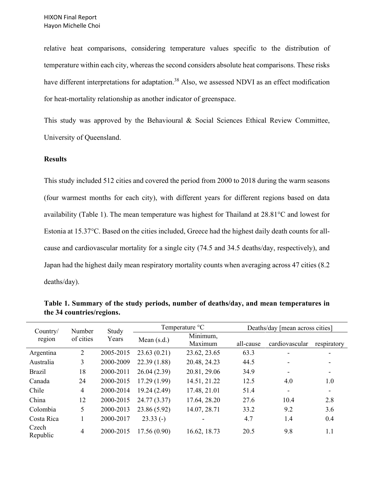relative heat comparisons, considering temperature values specific to the distribution of temperature within each city, whereas the second considers absolute heat comparisons. These risks have different interpretations for adaptation.<sup>38</sup> Also, we assessed NDVI as an effect modification for heat-mortality relationship as another indicator of greenspace.

This study was approved by the Behavioural & Social Sciences Ethical Review Committee, University of Queensland.

## **Results**

This study included 512 cities and covered the period from 2000 to 2018 during the warm seasons (four warmest months for each city), with different years for different regions based on data availability (Table 1). The mean temperature was highest for Thailand at 28.81°C and lowest for Estonia at 15.37°C. Based on the cities included, Greece had the highest daily death counts for allcause and cardiovascular mortality for a single city (74.5 and 34.5 deaths/day, respectively), and Japan had the highest daily mean respiratory mortality counts when averaging across 47 cities (8.2 deaths/day).

| Study<br>Number<br>Country/ |                |           | Temperature °C |                     | Deaths/day [mean across cities] |                |                          |
|-----------------------------|----------------|-----------|----------------|---------------------|---------------------------------|----------------|--------------------------|
| region                      | of cities      | Years     | Mean $(s.d.)$  | Minimum,<br>Maximum | all-cause                       | cardiovascular | respiratory              |
| Argentina                   | $\overline{2}$ | 2005-2015 | 23.63(0.21)    | 23.62, 23.65        | 63.3                            |                |                          |
| Australia                   | 3              | 2000-2009 | 22.39(1.88)    | 20.48, 24.23        | 44.5                            |                |                          |
| <b>Brazil</b>               | 18             | 2000-2011 | 26.04(2.39)    | 20.81, 29.06        | 34.9                            |                |                          |
| Canada                      | 24             | 2000-2015 | 17.29(1.99)    | 14.51, 21.22        | 12.5                            | 4.0            | 1.0                      |
| Chile                       | 4              | 2000-2014 | 19.24(2.49)    | 17.48, 21.01        | 51.4                            |                | $\overline{\phantom{0}}$ |
| China                       | 12             | 2000-2015 | 24.77 (3.37)   | 17.64, 28.20        | 27.6                            | 10.4           | 2.8                      |
| Colombia                    | 5              | 2000-2013 | 23.86 (5.92)   | 14.07, 28.71        | 33.2                            | 9.2            | 3.6                      |
| Costa Rica                  |                | 2000-2017 | $23.33(-)$     |                     | 4.7                             | 1.4            | 0.4                      |
| Czech<br>Republic           | $\overline{4}$ | 2000-2015 | 17.56(0.90)    | 16.62, 18.73        | 20.5                            | 9.8            | 1.1                      |

**Table 1. Summary of the study periods, number of deaths/day, and mean temperatures in the 34 countries/regions.**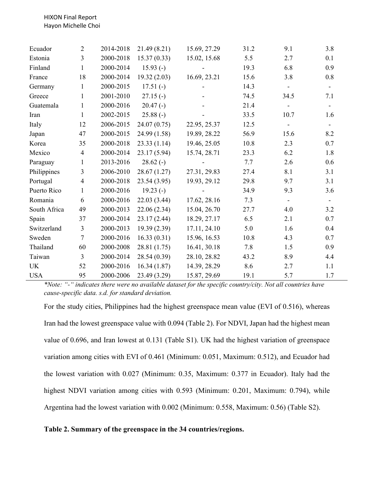HIXON Final Report Hayon Michelle Choi

| Ecuador      | $\overline{2}$ | 2014-2018 | 21.49(8.21)  | 15.69, 27.29 | 31.2 | 9.1  | 3.8 |
|--------------|----------------|-----------|--------------|--------------|------|------|-----|
| Estonia      | 3              | 2000-2018 | 15.37(0.33)  | 15.02, 15.68 | 5.5  | 2.7  | 0.1 |
| Finland      | 1              | 2000-2014 | $15.93(-)$   |              | 19.3 | 6.8  | 0.9 |
| France       | 18             | 2000-2014 | 19.32(2.03)  | 16.69, 23.21 | 15.6 | 3.8  | 0.8 |
| Germany      | 1              | 2000-2015 | $17.51(-)$   |              | 14.3 |      |     |
| Greece       | 1              | 2001-2010 | $27.15(-)$   |              | 74.5 | 34.5 | 7.1 |
| Guatemala    | 1              | 2000-2016 | $20.47(-)$   |              | 21.4 |      |     |
| Iran         | 1              | 2002-2015 | $25.88(-)$   |              | 33.5 | 10.7 | 1.6 |
| Italy        | 12             | 2006-2015 | 24.07(0.75)  | 22.95, 25.37 | 12.5 |      |     |
| Japan        | 47             | 2000-2015 | 24.99 (1.58) | 19.89, 28.22 | 56.9 | 15.6 | 8.2 |
| Korea        | 35             | 2000-2018 | 23.33(1.14)  | 19.46, 25.05 | 10.8 | 2.3  | 0.7 |
| Mexico       | $\overline{4}$ | 2000-2014 | 23.17(5.94)  | 15.74, 28.71 | 23.3 | 6.2  | 1.8 |
| Paraguay     | 1              | 2013-2016 | $28.62(-)$   |              | 7.7  | 2.6  | 0.6 |
| Philippines  | 3              | 2006-2010 | 28.67(1.27)  | 27.31, 29.83 | 27.4 | 8.1  | 3.1 |
| Portugal     | $\overline{4}$ | 2000-2018 | 23.54(3.95)  | 19.93, 29.12 | 29.8 | 9.7  | 3.1 |
| Puerto Rico  | 1              | 2000-2016 | $19.23(-)$   |              | 34.9 | 9.3  | 3.6 |
| Romania      | 6              | 2000-2016 | 22.03(3.44)  | 17.62, 28.16 | 7.3  |      |     |
| South Africa | 49             | 2000-2013 | 22.06(2.34)  | 15.04, 26.70 | 27.7 | 4.0  | 3.2 |
| Spain        | 37             | 2000-2014 | 23.17(2.44)  | 18.29, 27.17 | 6.5  | 2.1  | 0.7 |
| Switzerland  | $\overline{3}$ | 2000-2013 | 19.39(2.39)  | 17.11, 24.10 | 5.0  | 1.6  | 0.4 |
| Sweden       | $\overline{7}$ | 2000-2016 | 16.33(0.31)  | 15.96, 16.53 | 10.8 | 4.3  | 0.7 |
| Thailand     | 60             | 2000-2008 | 28.81(1.75)  | 16.41, 30.18 | 7.8  | 1.5  | 0.9 |
| Taiwan       | $\overline{3}$ | 2000-2014 | 28.54 (0.39) | 28.10, 28.82 | 43.2 | 8.9  | 4.4 |
| <b>UK</b>    | 52             | 2000-2016 | 16.34(1.87)  | 14.39, 28.29 | 8.6  | 2.7  | 1.1 |
| <b>USA</b>   | 95             | 2000-2006 | 23.49 (3.29) | 15.87, 29.69 | 19.1 | 5.7  | 1.7 |

*\*Note: "-" indicates there were no available dataset for the specific country/city. Not all countries have cause-specific data. s.d. for standard deviation.* 

For the study cities, Philippines had the highest greenspace mean value (EVI of 0.516), whereas Iran had the lowest greenspace value with 0.094 (Table 2). For NDVI, Japan had the highest mean value of 0.696, and Iran lowest at 0.131 (Table S1). UK had the highest variation of greenspace variation among cities with EVI of 0.461 (Minimum: 0.051, Maximum: 0.512), and Ecuador had the lowest variation with 0.027 (Minimum: 0.35, Maximum: 0.377 in Ecuador). Italy had the highest NDVI variation among cities with 0.593 (Minimum: 0.201, Maximum: 0.794), while Argentina had the lowest variation with 0.002 (Minimum: 0.558, Maximum: 0.56) (Table S2).

## **Table 2. Summary of the greenspace in the 34 countries/regions.**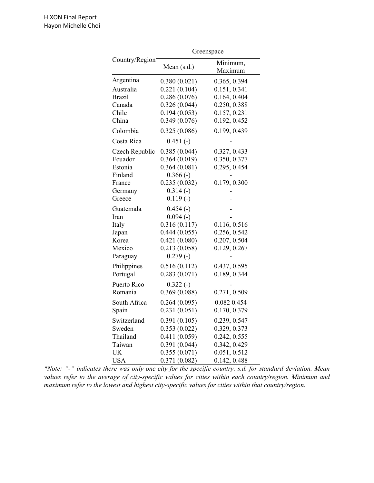|                | Greenspace    |                     |  |  |
|----------------|---------------|---------------------|--|--|
| Country/Region | Mean $(s.d.)$ | Minimum,<br>Maximum |  |  |
| Argentina      | 0.380(0.021)  | 0.365, 0.394        |  |  |
| Australia      | 0.221(0.104)  | 0.151, 0.341        |  |  |
| <b>Brazil</b>  | 0.286(0.076)  | 0.164, 0.404        |  |  |
| Canada         | 0.326(0.044)  | 0.250, 0.388        |  |  |
| Chile          | 0.194(0.053)  | 0.157, 0.231        |  |  |
| China          | 0.349(0.076)  | 0.192, 0.452        |  |  |
| Colombia       | 0.325(0.086)  | 0.199, 0.439        |  |  |
| Costa Rica     | $0.451(-)$    |                     |  |  |
| Czech Republic | 0.385(0.044)  | 0.327, 0.433        |  |  |
| Ecuador        | 0.364(0.019)  | 0.350, 0.377        |  |  |
| Estonia        | 0.364(0.081)  | 0.295, 0.454        |  |  |
| Finland        | $0.366(-)$    |                     |  |  |
| France         | 0.235(0.032)  | 0.179, 0.300        |  |  |
| Germany        | $0.314(-)$    |                     |  |  |
| Greece         | $0.119(-)$    |                     |  |  |
| Guatemala      | $0.454(-)$    |                     |  |  |
| Iran           | $0.094(-)$    |                     |  |  |
| Italy          | 0.316(0.117)  | 0.116, 0.516        |  |  |
| Japan          | 0.444(0.055)  | 0.256, 0.542        |  |  |
| Korea          | 0.421(0.080)  | 0.207, 0.504        |  |  |
| Mexico         | 0.213(0.058)  | 0.129, 0.267        |  |  |
| Paraguay       | $0.279(-)$    |                     |  |  |
| Philippines    | 0.516(0.112)  | 0.437, 0.595        |  |  |
| Portugal       | 0.283(0.071)  | 0.189, 0.344        |  |  |
| Puerto Rico    | $0.322(-)$    |                     |  |  |
| Romania        | 0.369(0.088)  | 0.271, 0.509        |  |  |
| South Africa   | 0.264(0.095)  | 0.082 0.454         |  |  |
| Spain          | 0.231(0.051)  | 0.170, 0.379        |  |  |
| Switzerland    | 0.391(0.105)  | 0.239, 0.547        |  |  |
| Sweden         | 0.353(0.022)  | 0.329, 0.373        |  |  |
| Thailand       | 0.411(0.059)  | 0.242, 0.555        |  |  |
| Taiwan         | 0.391(0.044)  | 0.342, 0.429        |  |  |
| UK             | 0.355(0.071)  | 0.051, 0.512        |  |  |
| <b>USA</b>     | 0.371(0.082)  | 0.142, 0.488        |  |  |

*\*Note: "-" indicates there was only one city for the specific country. s.d. for standard deviation. Mean values refer to the average of city-specific values for cities within each country/region. Minimum and maximum refer to the lowest and highest city-specific values for cities within that country/region.*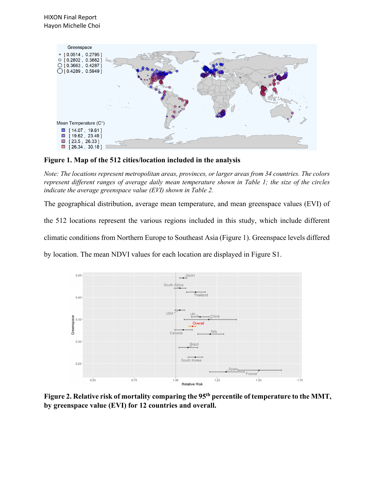

**Figure 1. Map of the 512 cities/location included in the analysis**

*Note: The locations represent metropolitan areas, provinces, or larger areas from 34 countries. The colors represent different ranges of average daily mean temperature shown in Table 1; the size of the circles indicate the average greenspace value (EVI) shown in Table 2.* 

The geographical distribution, average mean temperature, and mean greenspace values (EVI) of

the 512 locations represent the various regions included in this study, which include different

climatic conditions from Northern Europe to Southeast Asia (Figure 1). Greenspace levels differed

by location. The mean NDVI values for each location are displayed in Figure S1.



**Figure 2. Relative risk of mortality comparing the 95th percentile of temperature to the MMT, by greenspace value (EVI) for 12 countries and overall.**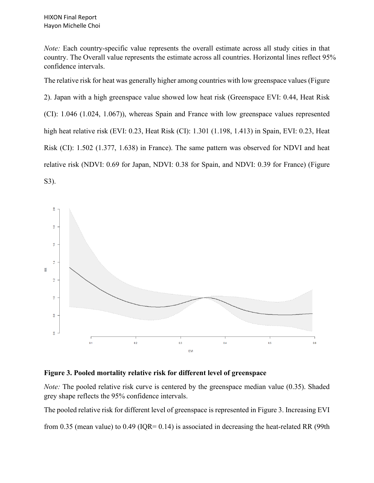*Note:* Each country-specific value represents the overall estimate across all study cities in that country. The Overall value represents the estimate across all countries. Horizontal lines reflect 95% confidence intervals.

The relative risk for heat was generally higher among countries with low greenspace values (Figure 2). Japan with a high greenspace value showed low heat risk (Greenspace EVI: 0.44, Heat Risk (CI): 1.046 (1.024, 1.067)), whereas Spain and France with low greenspace values represented high heat relative risk (EVI: 0.23, Heat Risk (CI): 1.301 (1.198, 1.413) in Spain, EVI: 0.23, Heat Risk (CI): 1.502 (1.377, 1.638) in France). The same pattern was observed for NDVI and heat relative risk (NDVI: 0.69 for Japan, NDVI: 0.38 for Spain, and NDVI: 0.39 for France) (Figure S3).



# **Figure 3. Pooled mortality relative risk for different level of greenspace**

*Note:* The pooled relative risk curve is centered by the greenspace median value (0.35). Shaded grey shape reflects the 95% confidence intervals.

The pooled relative risk for different level of greenspace is represented in Figure 3. Increasing EVI

from 0.35 (mean value) to 0.49 (IQR= 0.14) is associated in decreasing the heat-related RR (99th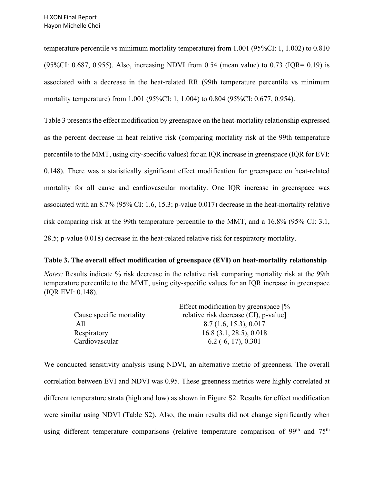temperature percentile vs minimum mortality temperature) from 1.001 (95%CI: 1, 1.002) to 0.810  $(95\%CI: 0.687, 0.955)$ . Also, increasing NDVI from 0.54 (mean value) to 0.73 (IQR= 0.19) is associated with a decrease in the heat-related RR (99th temperature percentile vs minimum mortality temperature) from 1.001 (95%CI: 1, 1.004) to 0.804 (95%CI: 0.677, 0.954).

Table 3 presents the effect modification by greenspace on the heat-mortality relationship expressed as the percent decrease in heat relative risk (comparing mortality risk at the 99th temperature percentile to the MMT, using city-specific values) for an IQR increase in greenspace (IQR for EVI: 0.148). There was a statistically significant effect modification for greenspace on heat-related mortality for all cause and cardiovascular mortality. One IQR increase in greenspace was associated with an 8.7% (95% CI: 1.6, 15.3; p-value 0.017) decrease in the heat-mortality relative risk comparing risk at the 99th temperature percentile to the MMT, and a 16.8% (95% CI: 3.1, 28.5; p-value 0.018) decrease in the heat-related relative risk for respiratory mortality.

## **Table 3. The overall effect modification of greenspace (EVI) on heat-mortality relationship**

| <i>Notes:</i> Results indicate % risk decrease in the relative risk comparing mortality risk at the 99th |
|----------------------------------------------------------------------------------------------------------|
| temperature percentile to the MMT, using city-specific values for an IQR increase in greenspace          |
| (IQR EVI: 0.148).                                                                                        |

|                          | Effect modification by greenspace $[%$ |
|--------------------------|----------------------------------------|
| Cause specific mortality | relative risk decrease (CI), p-value]  |
| A11                      | 8.7(1.6, 15.3), 0.017                  |
| Respiratory              | $16.8$ (3.1, 28.5), 0.018              |
| Cardiovascular           | $6.2$ (-6, 17), 0.301                  |

We conducted sensitivity analysis using NDVI, an alternative metric of greenness. The overall correlation between EVI and NDVI was 0.95. These greenness metrics were highly correlated at different temperature strata (high and low) as shown in Figure S2. Results for effect modification were similar using NDVI (Table S2). Also, the main results did not change significantly when using different temperature comparisons (relative temperature comparison of  $99<sup>th</sup>$  and  $75<sup>th</sup>$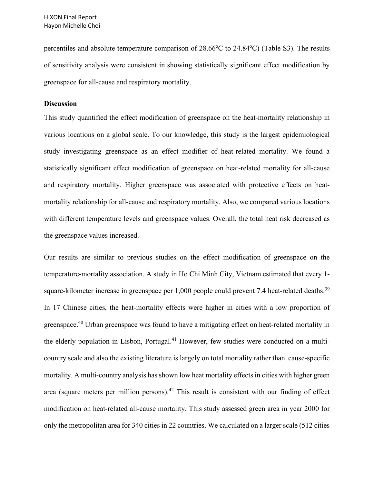percentiles and absolute temperature comparison of  $28.66^{\circ}$ C to  $24.84^{\circ}$ C) (Table S3). The results of sensitivity analysis were consistent in showing statistically significant effect modification by greenspace for all-cause and respiratory mortality.

#### **Discussion**

This study quantified the effect modification of greenspace on the heat-mortality relationship in various locations on a global scale. To our knowledge, this study is the largest epidemiological study investigating greenspace as an effect modifier of heat-related mortality. We found a statistically significant effect modification of greenspace on heat-related mortality for all-cause and respiratory mortality. Higher greenspace was associated with protective effects on heatmortality relationship for all-cause and respiratory mortality. Also, we compared various locations with different temperature levels and greenspace values. Overall, the total heat risk decreased as the greenspace values increased.

Our results are similar to previous studies on the effect modification of greenspace on the temperature-mortality association. A study in Ho Chi Minh City, Vietnam estimated that every 1 square-kilometer increase in greenspace per 1,000 people could prevent 7.4 heat-related deaths.<sup>39</sup> In 17 Chinese cities, the heat-mortality effects were higher in cities with a low proportion of greenspace.<sup>40</sup> Urban greenspace was found to have a mitigating effect on heat-related mortality in the elderly population in Lisbon, Portugal.<sup>41</sup> However, few studies were conducted on a multicountry scale and also the existing literature is largely on total mortality rather than cause-specific mortality. A multi-country analysis has shown low heat mortality effects in cities with higher green area (square meters per million persons).<sup>42</sup> This result is consistent with our finding of effect modification on heat-related all-cause mortality. This study assessed green area in year 2000 for only the metropolitan area for 340 cities in 22 countries. We calculated on a larger scale (512 cities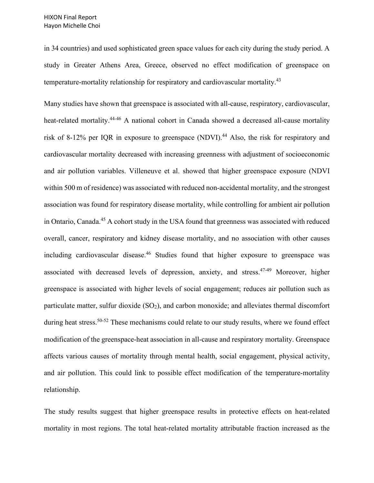in 34 countries) and used sophisticated green space values for each city during the study period. A study in Greater Athens Area, Greece, observed no effect modification of greenspace on temperature-mortality relationship for respiratory and cardiovascular mortality.<sup>43</sup>

Many studies have shown that greenspace is associated with all-cause, respiratory, cardiovascular, heat-related mortality.<sup>44-46</sup> A national cohort in Canada showed a decreased all-cause mortality risk of 8-12% per IQR in exposure to greenspace (NDVI).<sup>44</sup> Also, the risk for respiratory and cardiovascular mortality decreased with increasing greenness with adjustment of socioeconomic and air pollution variables. Villeneuve et al. showed that higher greenspace exposure (NDVI within 500 m of residence) was associated with reduced non-accidental mortality, and the strongest association was found for respiratory disease mortality, while controlling for ambient air pollution in Ontario, Canada.<sup>45</sup> A cohort study in the USA found that greenness was associated with reduced overall, cancer, respiratory and kidney disease mortality, and no association with other causes including cardiovascular disease.<sup>46</sup> Studies found that higher exposure to greenspace was associated with decreased levels of depression, anxiety, and stress.<sup>47-49</sup> Moreover, higher greenspace is associated with higher levels of social engagement; reduces air pollution such as particulate matter, sulfur dioxide  $(SO_2)$ , and carbon monoxide; and alleviates thermal discomfort during heat stress.<sup>50-52</sup> These mechanisms could relate to our study results, where we found effect modification of the greenspace-heat association in all-cause and respiratory mortality. Greenspace affects various causes of mortality through mental health, social engagement, physical activity, and air pollution. This could link to possible effect modification of the temperature-mortality relationship.

The study results suggest that higher greenspace results in protective effects on heat-related mortality in most regions. The total heat-related mortality attributable fraction increased as the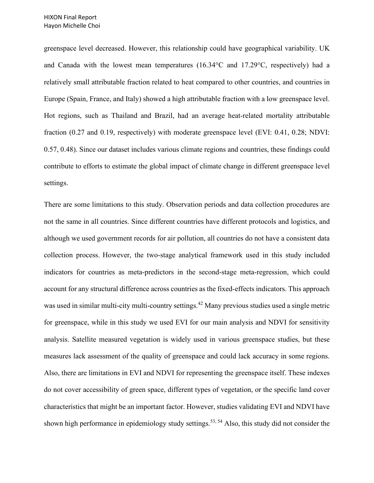greenspace level decreased. However, this relationship could have geographical variability. UK and Canada with the lowest mean temperatures (16.34°C and 17.29°C, respectively) had a relatively small attributable fraction related to heat compared to other countries, and countries in Europe (Spain, France, and Italy) showed a high attributable fraction with a low greenspace level. Hot regions, such as Thailand and Brazil, had an average heat-related mortality attributable fraction (0.27 and 0.19, respectively) with moderate greenspace level (EVI: 0.41, 0.28; NDVI: 0.57, 0.48). Since our dataset includes various climate regions and countries, these findings could contribute to efforts to estimate the global impact of climate change in different greenspace level settings.

There are some limitations to this study. Observation periods and data collection procedures are not the same in all countries. Since different countries have different protocols and logistics, and although we used government records for air pollution, all countries do not have a consistent data collection process. However, the two-stage analytical framework used in this study included indicators for countries as meta-predictors in the second-stage meta-regression, which could account for any structural difference across countries as the fixed-effects indicators. This approach was used in similar multi-city multi-country settings.<sup>42</sup> Many previous studies used a single metric for greenspace, while in this study we used EVI for our main analysis and NDVI for sensitivity analysis. Satellite measured vegetation is widely used in various greenspace studies, but these measures lack assessment of the quality of greenspace and could lack accuracy in some regions. Also, there are limitations in EVI and NDVI for representing the greenspace itself. These indexes do not cover accessibility of green space, different types of vegetation, or the specific land cover characteristics that might be an important factor. However, studies validating EVI and NDVI have shown high performance in epidemiology study settings.<sup>53, 54</sup> Also, this study did not consider the